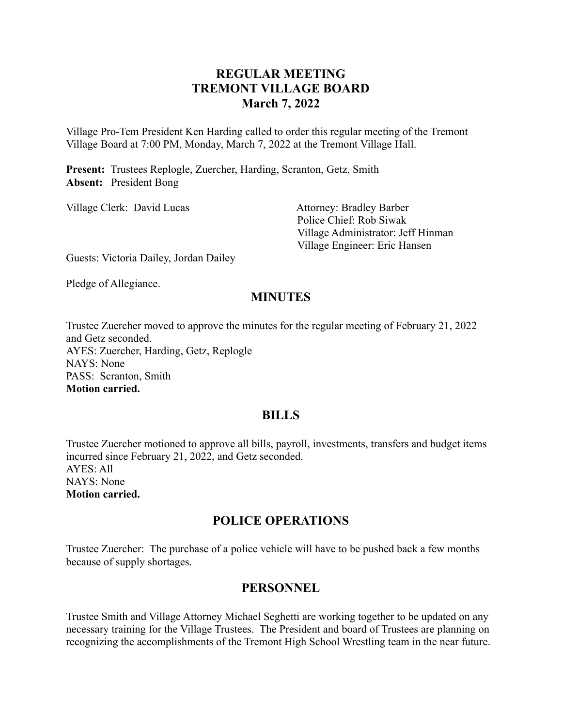# **REGULAR MEETING TREMONT VILLAGE BOARD March 7, 2022**

Village Pro-Tem President Ken Harding called to order this regular meeting of the Tremont Village Board at 7:00 PM, Monday, March 7, 2022 at the Tremont Village Hall.

**Present:** Trustees Replogle, Zuercher, Harding, Scranton, Getz, Smith **Absent:** President Bong

| Village Clerk: David Lucas                                                                               | <b>Attorney: Bradley Barber</b>    |
|----------------------------------------------------------------------------------------------------------|------------------------------------|
|                                                                                                          | Police Chief: Rob Siwak            |
|                                                                                                          | Village Administrator: Jeff Hinman |
|                                                                                                          | Village Engineer: Eric Hansen      |
| $\sim$ $\sim$<br>$\mathbf{r}$ , $\mathbf{r}$ , $\mathbf{r}$ , $\mathbf{r}$ , $\mathbf{r}$ , $\mathbf{r}$ |                                    |

Guests: Victoria Dailey, Jordan Dailey

Pledge of Allegiance.

# **MINUTES**

Trustee Zuercher moved to approve the minutes for the regular meeting of February 21, 2022 and Getz seconded. AYES: Zuercher, Harding, Getz, Replogle NAYS: None PASS: Scranton, Smith **Motion carried.**

### **BILLS**

Trustee Zuercher motioned to approve all bills, payroll, investments, transfers and budget items incurred since February 21, 2022, and Getz seconded. AYES: All NAYS: None **Motion carried.**

# **POLICE OPERATIONS**

Trustee Zuercher: The purchase of a police vehicle will have to be pushed back a few months because of supply shortages.

# **PERSONNEL**

Trustee Smith and Village Attorney Michael Seghetti are working together to be updated on any necessary training for the Village Trustees. The President and board of Trustees are planning on recognizing the accomplishments of the Tremont High School Wrestling team in the near future.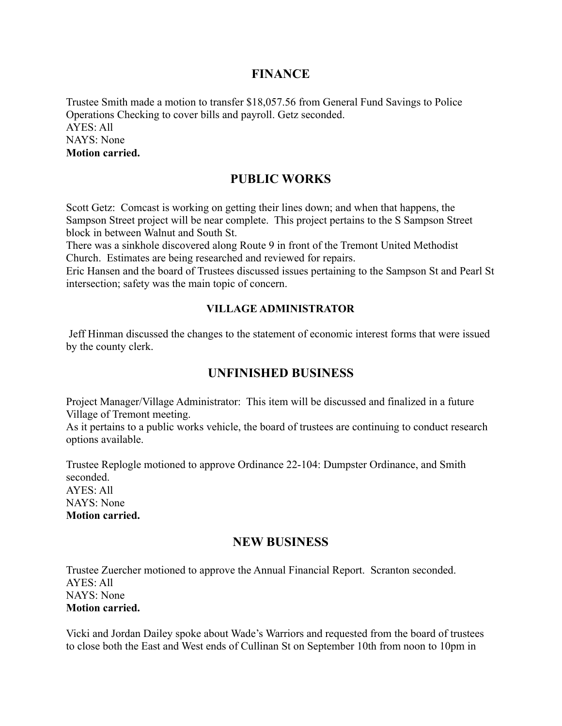### **FINANCE**

Trustee Smith made a motion to transfer \$18,057.56 from General Fund Savings to Police Operations Checking to cover bills and payroll. Getz seconded. AYES: All NAYS: None **Motion carried.**

### **PUBLIC WORKS**

Scott Getz: Comcast is working on getting their lines down; and when that happens, the Sampson Street project will be near complete. This project pertains to the S Sampson Street block in between Walnut and South St.

There was a sinkhole discovered along Route 9 in front of the Tremont United Methodist Church. Estimates are being researched and reviewed for repairs.

Eric Hansen and the board of Trustees discussed issues pertaining to the Sampson St and Pearl St intersection; safety was the main topic of concern.

#### **VILLAGE ADMINISTRATOR**

Jeff Hinman discussed the changes to the statement of economic interest forms that were issued by the county clerk.

### **UNFINISHED BUSINESS**

Project Manager/Village Administrator: This item will be discussed and finalized in a future Village of Tremont meeting.

As it pertains to a public works vehicle, the board of trustees are continuing to conduct research options available.

Trustee Replogle motioned to approve Ordinance 22-104: Dumpster Ordinance, and Smith seconded.  $AYES: All$ NAYS: None **Motion carried.**

### **NEW BUSINESS**

Trustee Zuercher motioned to approve the Annual Financial Report. Scranton seconded. AYES: All NAYS: None **Motion carried.**

Vicki and Jordan Dailey spoke about Wade's Warriors and requested from the board of trustees to close both the East and West ends of Cullinan St on September 10th from noon to 10pm in